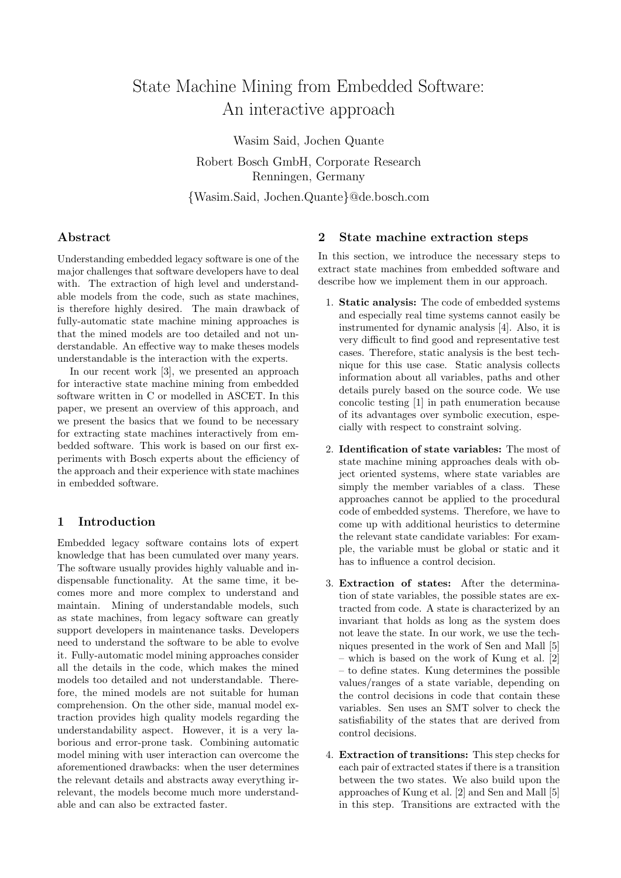# State Machine Mining from Embedded Software: An interactive approach

Wasim Said, Jochen Quante Robert Bosch GmbH, Corporate Research Renningen, Germany {Wasim.Said, Jochen.Quante}@de.bosch.com

### Abstract

Understanding embedded legacy software is one of the major challenges that software developers have to deal with. The extraction of high level and understandable models from the code, such as state machines, is therefore highly desired. The main drawback of fully-automatic state machine mining approaches is that the mined models are too detailed and not understandable. An effective way to make theses models understandable is the interaction with the experts.

In our recent work [3], we presented an approach for interactive state machine mining from embedded software written in C or modelled in ASCET. In this paper, we present an overview of this approach, and we present the basics that we found to be necessary for extracting state machines interactively from embedded software. This work is based on our first experiments with Bosch experts about the efficiency of the approach and their experience with state machines in embedded software.

## 1 Introduction

Embedded legacy software contains lots of expert knowledge that has been cumulated over many years. The software usually provides highly valuable and indispensable functionality. At the same time, it becomes more and more complex to understand and maintain. Mining of understandable models, such as state machines, from legacy software can greatly support developers in maintenance tasks. Developers need to understand the software to be able to evolve it. Fully-automatic model mining approaches consider all the details in the code, which makes the mined models too detailed and not understandable. Therefore, the mined models are not suitable for human comprehension. On the other side, manual model extraction provides high quality models regarding the understandability aspect. However, it is a very laborious and error-prone task. Combining automatic model mining with user interaction can overcome the aforementioned drawbacks: when the user determines the relevant details and abstracts away everything irrelevant, the models become much more understandable and can also be extracted faster.

#### 2 State machine extraction steps

In this section, we introduce the necessary steps to extract state machines from embedded software and describe how we implement them in our approach.

- 1. Static analysis: The code of embedded systems and especially real time systems cannot easily be instrumented for dynamic analysis [4]. Also, it is very difficult to find good and representative test cases. Therefore, static analysis is the best technique for this use case. Static analysis collects information about all variables, paths and other details purely based on the source code. We use concolic testing [1] in path enumeration because of its advantages over symbolic execution, especially with respect to constraint solving.
- 2. Identification of state variables: The most of state machine mining approaches deals with object oriented systems, where state variables are simply the member variables of a class. These approaches cannot be applied to the procedural code of embedded systems. Therefore, we have to come up with additional heuristics to determine the relevant state candidate variables: For example, the variable must be global or static and it has to influence a control decision.
- 3. Extraction of states: After the determination of state variables, the possible states are extracted from code. A state is characterized by an invariant that holds as long as the system does not leave the state. In our work, we use the techniques presented in the work of Sen and Mall [5] – which is based on the work of Kung et al. [2] – to define states. Kung determines the possible values/ranges of a state variable, depending on the control decisions in code that contain these variables. Sen uses an SMT solver to check the satisfiability of the states that are derived from control decisions.
- 4. Extraction of transitions: This step checks for each pair of extracted states if there is a transition between the two states. We also build upon the approaches of Kung et al. [2] and Sen and Mall [5] in this step. Transitions are extracted with the